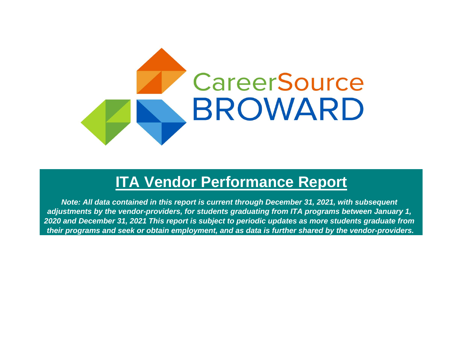

# **ITA Vendor Performance Report**

*Note: All data contained in this report is current through December 31, 2021, with subsequent adjustments by the vendor-providers, for students graduating from ITA programs between January 1, 2020 and December 31, 2021 This report is subject to periodic updates as more students graduate from their programs and seek or obtain employment, and as data is further shared by the vendor-providers.*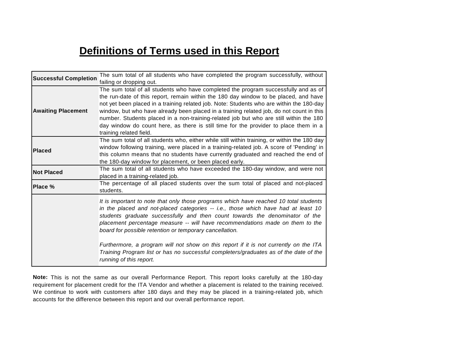# **Definitions of Terms used in this Report**

| <b>Successful Completion</b> | The sum total of all students who have completed the program successfully, without                                                                                                                                                                                                                                                                                                                                                                                                                                                                                                                           |
|------------------------------|--------------------------------------------------------------------------------------------------------------------------------------------------------------------------------------------------------------------------------------------------------------------------------------------------------------------------------------------------------------------------------------------------------------------------------------------------------------------------------------------------------------------------------------------------------------------------------------------------------------|
| <b>Awaiting Placement</b>    | failing or dropping out.<br>The sum total of all students who have completed the program successfully and as of<br>the run-date of this report, remain within the 180 day window to be placed, and have<br>not yet been placed in a training related job. Note: Students who are within the 180-day<br>window, but who have already been placed in a training related job, do not count in this<br>number. Students placed in a non-training-related job but who are still within the 180<br>day window do count here, as there is still time for the provider to place them in a<br>training related field. |
| <b>Placed</b>                | The sum total of all students who, either while still within training, or within the 180 day<br>window following training, were placed in a training-related job. A score of 'Pending' in<br>this column means that no students have currently graduated and reached the end of<br>the 180-day window for placement, or been placed early.                                                                                                                                                                                                                                                                   |
| <b>Not Placed</b>            | The sum total of all students who have exceeded the 180-day window, and were not<br>placed in a training-related job.                                                                                                                                                                                                                                                                                                                                                                                                                                                                                        |
| Place %                      | The percentage of all placed students over the sum total of placed and not-placed<br>students.                                                                                                                                                                                                                                                                                                                                                                                                                                                                                                               |
|                              | It is important to note that only those programs which have reached 10 total students<br>in the placed and not-placed categories -- i.e., those which have had at least 10<br>students graduate successfully and then count towards the denominator of the<br>placement percentage measure -- will have recommendations made on them to the<br>board for possible retention or temporary cancellation.                                                                                                                                                                                                       |
|                              | Furthermore, a program will not show on this report if it is not currently on the ITA<br>Training Program list or has no successful completers/graduates as of the date of the<br>running of this report.                                                                                                                                                                                                                                                                                                                                                                                                    |

**Note:** This is not the same as our overall Performance Report. This report looks carefully at the 180-day requirement for placement credit for the ITA Vendor and whether a placement is related to the training received. We continue to work with customers after 180 days and they may be placed in a training-related job, which accounts for the difference between this report and our overall performance report.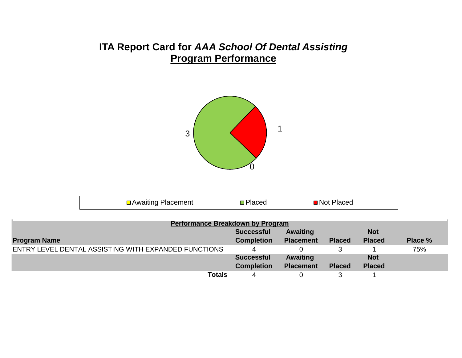#### **ITA Report Card for** *AAA School Of Dental Assisting*  **Program Performance**



| <b>□</b> Awaiting Placement<br>Placed<br>י Not י<br>iacec |  |
|-----------------------------------------------------------|--|
|-----------------------------------------------------------|--|

| <b>Performance Breakdown by Program</b>              |                   |                  |               |               |         |
|------------------------------------------------------|-------------------|------------------|---------------|---------------|---------|
|                                                      | <b>Successful</b> | <b>Awaiting</b>  |               | <b>Not</b>    |         |
| <b>Program Name</b>                                  | <b>Completion</b> | <b>Placement</b> | <b>Placed</b> | <b>Placed</b> | Place % |
| ENTRY LEVEL DENTAL ASSISTING WITH EXPANDED FUNCTIONS |                   |                  |               |               | 75%     |
|                                                      | <b>Successful</b> | <b>Awaiting</b>  |               | <b>Not</b>    |         |
|                                                      | <b>Completion</b> | <b>Placement</b> | <b>Placed</b> | <b>Placed</b> |         |
| <b>Totals</b>                                        | 4                 |                  |               |               |         |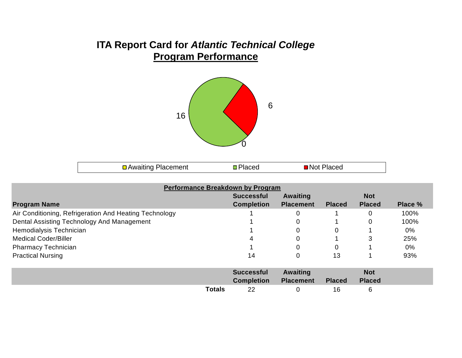## **ITA Report Card for** *Atlantic Technical College* **Program Performance**



| □ Awaiting Placement | <b>Placed</b> | ■Not Placed |  |
|----------------------|---------------|-------------|--|
|----------------------|---------------|-------------|--|

| Performance Breakdown by Program                       |                   |                  |               |               |         |
|--------------------------------------------------------|-------------------|------------------|---------------|---------------|---------|
|                                                        | <b>Successful</b> | Awaiting         |               | <b>Not</b>    |         |
| <b>Program Name</b>                                    | <b>Completion</b> | <b>Placement</b> | <b>Placed</b> | <b>Placed</b> | Place % |
| Air Conditioning, Refrigeration And Heating Technology |                   |                  |               | 0             | 100%    |
| Dental Assisting Technology And Management             |                   |                  |               | $\Omega$      | 100%    |
| Hemodialysis Technician                                |                   |                  | $\Omega$      |               | 0%      |
| <b>Medical Coder/Biller</b>                            | 4                 |                  |               | 3             | 25%     |
| <b>Pharmacy Technician</b>                             |                   |                  | 0             |               | 0%      |
| <b>Practical Nursing</b>                               | 14                |                  | 13            |               | 93%     |
|                                                        | <b>Successful</b> | <b>Awaiting</b>  |               | <b>Not</b>    |         |
|                                                        | <b>Completion</b> | <b>Placement</b> | <b>Placed</b> | <b>Placed</b> |         |
| <b>Totals</b>                                          | 22                | 0                | 16            | 6             |         |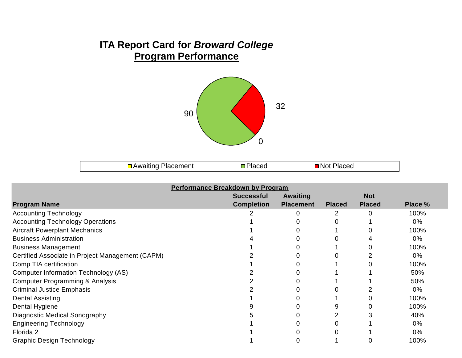## **ITA Report Card for** *Broward College* **Program Performance**



□ Awaiting Placement DPlaced Not Placed

|                                                  | <b>Performance Breakdown by Program</b> |                  |               |               |         |
|--------------------------------------------------|-----------------------------------------|------------------|---------------|---------------|---------|
|                                                  | <b>Successful</b>                       | Awaiting         |               | <b>Not</b>    |         |
| <b>Program Name</b>                              | <b>Completion</b>                       | <b>Placement</b> | <b>Placed</b> | <b>Placed</b> | Place % |
| <b>Accounting Technology</b>                     |                                         |                  |               | $\Omega$      | 100%    |
| <b>Accounting Technology Operations</b>          |                                         |                  |               |               | 0%      |
| <b>Aircraft Powerplant Mechanics</b>             |                                         |                  |               |               | 100%    |
| <b>Business Administration</b>                   |                                         |                  |               |               | $0\%$   |
| <b>Business Management</b>                       |                                         |                  |               |               | 100%    |
| Certified Associate in Project Management (CAPM) |                                         |                  |               |               | $0\%$   |
| Comp TIA certification                           |                                         |                  |               |               | 100%    |
| Computer Information Technology (AS)             |                                         |                  |               |               | 50%     |
| Computer Programming & Analysis                  |                                         |                  |               |               | 50%     |
| <b>Criminal Justice Emphasis</b>                 |                                         |                  |               |               | $0\%$   |
| <b>Dental Assisting</b>                          |                                         |                  |               |               | 100%    |
| Dental Hygiene                                   |                                         |                  |               |               | 100%    |
| Diagnostic Medical Sonography                    |                                         |                  |               |               | 40%     |
| <b>Engineering Technology</b>                    |                                         |                  |               |               | 0%      |
| Florida 2                                        |                                         |                  |               |               | 0%      |
| <b>Graphic Design Technology</b>                 |                                         |                  |               |               | 100%    |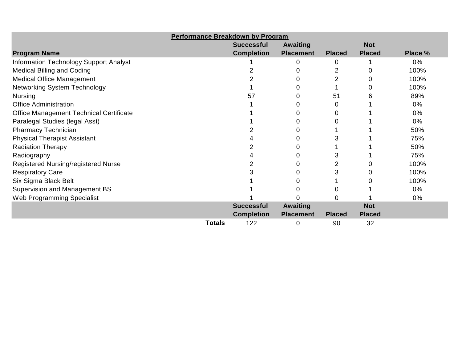|                                                | <b>Performance Breakdown by Program</b> |                   |                  |               |               |         |
|------------------------------------------------|-----------------------------------------|-------------------|------------------|---------------|---------------|---------|
|                                                |                                         | <b>Successful</b> | Awaiting         |               | <b>Not</b>    |         |
| <b>Program Name</b>                            |                                         | <b>Completion</b> | <b>Placement</b> | <b>Placed</b> | <b>Placed</b> | Place % |
| <b>Information Technology Support Analyst</b>  |                                         |                   | 0                |               |               | $0\%$   |
| <b>Medical Billing and Coding</b>              |                                         |                   |                  | 2             |               | 100%    |
| <b>Medical Office Management</b>               |                                         |                   |                  | 2             |               | 100%    |
| <b>Networking System Technology</b>            |                                         |                   |                  |               |               | 100%    |
| <b>Nursing</b>                                 |                                         | 57                |                  | 51            |               | 89%     |
| <b>Office Administration</b>                   |                                         |                   |                  | 0             |               | 0%      |
| <b>Office Management Technical Certificate</b> |                                         |                   |                  |               |               | $0\%$   |
| Paralegal Studies (legal Asst)                 |                                         |                   |                  |               |               | $0\%$   |
| <b>Pharmacy Technician</b>                     |                                         |                   |                  |               |               | 50%     |
| <b>Physical Therapist Assistant</b>            |                                         |                   |                  | 3             |               | 75%     |
| <b>Radiation Therapy</b>                       |                                         |                   |                  |               |               | 50%     |
| Radiography                                    |                                         |                   |                  | 3             |               | 75%     |
| Registered Nursing/registered Nurse            |                                         |                   |                  | 2             |               | 100%    |
| <b>Respiratory Care</b>                        |                                         |                   |                  |               |               | 100%    |
| Six Sigma Black Belt                           |                                         |                   |                  |               |               | 100%    |
| <b>Supervision and Management BS</b>           |                                         |                   |                  |               |               | 0%      |
| Web Programming Specialist                     |                                         |                   |                  |               |               | 0%      |
|                                                |                                         | <b>Successful</b> | <b>Awaiting</b>  |               | <b>Not</b>    |         |
|                                                |                                         | <b>Completion</b> | <b>Placement</b> | <b>Placed</b> | <b>Placed</b> |         |
|                                                | <b>Totals</b>                           | 122               | 0                | 90            | 32            |         |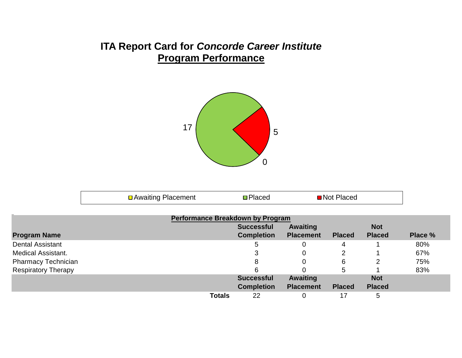#### **ITA Report Card for** *Concorde Career Institute* **Program Performance**



| □ Awaiting Placement<br>■ Not Placed<br><b>D</b> Placed |  |  |  |  |
|---------------------------------------------------------|--|--|--|--|
|---------------------------------------------------------|--|--|--|--|

|                            | Performance Breakdown by Program |                   |                  |               |               |         |
|----------------------------|----------------------------------|-------------------|------------------|---------------|---------------|---------|
|                            |                                  | <b>Successful</b> | <b>Awaiting</b>  |               | <b>Not</b>    |         |
| <b>Program Name</b>        |                                  | <b>Completion</b> | <b>Placement</b> | <b>Placed</b> | <b>Placed</b> | Place % |
| <b>Dental Assistant</b>    |                                  | 5                 |                  | 4             |               | 80%     |
| <b>Medical Assistant.</b>  |                                  |                   |                  | 2             |               | 67%     |
| <b>Pharmacy Technician</b> |                                  | 8                 |                  | 6             | 2             | 75%     |
| <b>Respiratory Therapy</b> |                                  | 6                 |                  | 5             |               | 83%     |
|                            |                                  | <b>Successful</b> | <b>Awaiting</b>  |               | <b>Not</b>    |         |
|                            |                                  | <b>Completion</b> | <b>Placement</b> | <b>Placed</b> | <b>Placed</b> |         |
|                            | <b>Totals</b>                    | 22                |                  | 17            | 5             |         |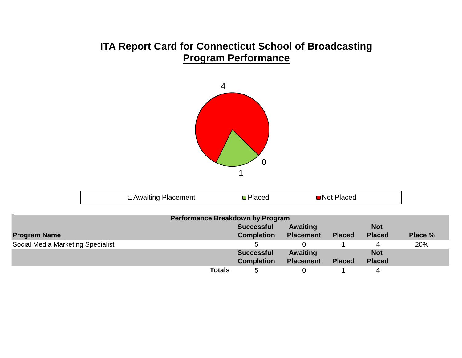#### **ITA Report Card for Connecticut School of Broadcasting Program Performance**



| □ Awaiting Placement | Placed | ■ Not Placed |  |
|----------------------|--------|--------------|--|
|                      |        |              |  |

|                                   |               | <b>Performance Breakdown by Program</b> |                  |               |               |         |
|-----------------------------------|---------------|-----------------------------------------|------------------|---------------|---------------|---------|
|                                   |               | <b>Successful</b>                       | <b>Awaiting</b>  |               | <b>Not</b>    |         |
| <b>Program Name</b>               |               | <b>Completion</b>                       | <b>Placement</b> | <b>Placed</b> | <b>Placed</b> | Place % |
| Social Media Marketing Specialist |               |                                         |                  |               | 4             | 20%     |
|                                   |               | <b>Successful</b>                       | <b>Awaiting</b>  |               | <b>Not</b>    |         |
|                                   |               | <b>Completion</b>                       | <b>Placement</b> | <b>Placed</b> | <b>Placed</b> |         |
|                                   | <b>Totals</b> | 5                                       |                  |               |               |         |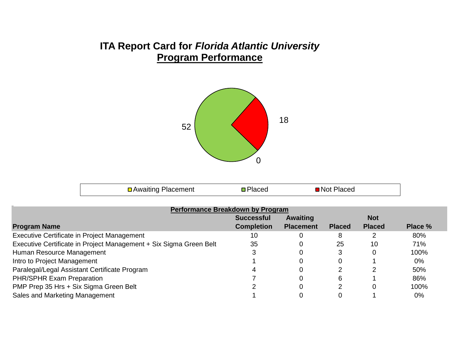#### **ITA Report Card for** *Florida Atlantic University* **Program Performance**



| <u>Placemen</u><br>INIOT 1<br>$AM^{\sim}$<br>асес<br>11111 101<br>120 EU<br>$-1$ |
|----------------------------------------------------------------------------------|
|----------------------------------------------------------------------------------|

| <b>Performance Breakdown by Program</b>                            |                   |                  |               |               |         |  |  |  |
|--------------------------------------------------------------------|-------------------|------------------|---------------|---------------|---------|--|--|--|
|                                                                    | <b>Successful</b> | Awaiting         |               | <b>Not</b>    |         |  |  |  |
| <b>Program Name</b>                                                | <b>Completion</b> | <b>Placement</b> | <b>Placed</b> | <b>Placed</b> | Place % |  |  |  |
| Executive Certificate in Project Management                        | 10                |                  | 8             |               | 80%     |  |  |  |
| Executive Certificate in Project Management + Six Sigma Green Belt | 35                | 0                | 25            | 10            | 71%     |  |  |  |
| Human Resource Management                                          |                   |                  |               | 0             | 100%    |  |  |  |
| Intro to Project Management                                        |                   |                  | 0             |               | $0\%$   |  |  |  |
| Paralegal/Legal Assistant Certificate Program                      |                   |                  | ⌒             | ◠             | 50%     |  |  |  |
| PHR/SPHR Exam Preparation                                          |                   |                  | 6             |               | 86%     |  |  |  |
| PMP Prep 35 Hrs + Six Sigma Green Belt                             |                   |                  | ◠             | 0             | 100%    |  |  |  |
| Sales and Marketing Management                                     |                   |                  |               |               | $0\%$   |  |  |  |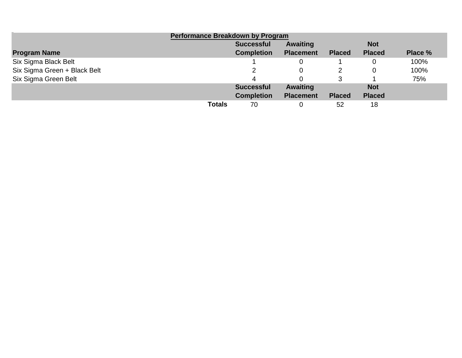| <b>Performance Breakdown by Program</b> |               |                   |                  |               |               |         |  |  |
|-----------------------------------------|---------------|-------------------|------------------|---------------|---------------|---------|--|--|
|                                         |               | <b>Successful</b> | <b>Awaiting</b>  |               | <b>Not</b>    |         |  |  |
| <b>Program Name</b>                     |               | <b>Completion</b> | <b>Placement</b> | <b>Placed</b> | <b>Placed</b> | Place % |  |  |
| Six Sigma Black Belt                    |               |                   |                  |               |               | 100%    |  |  |
| Six Sigma Green + Black Belt            |               |                   |                  |               |               | 100%    |  |  |
| Six Sigma Green Belt                    |               |                   |                  |               |               | 75%     |  |  |
|                                         |               | <b>Successful</b> | <b>Awaiting</b>  |               | <b>Not</b>    |         |  |  |
|                                         |               | <b>Completion</b> | <b>Placement</b> | <b>Placed</b> | <b>Placed</b> |         |  |  |
|                                         | <b>Totals</b> | 70                |                  | 52            | 18            |         |  |  |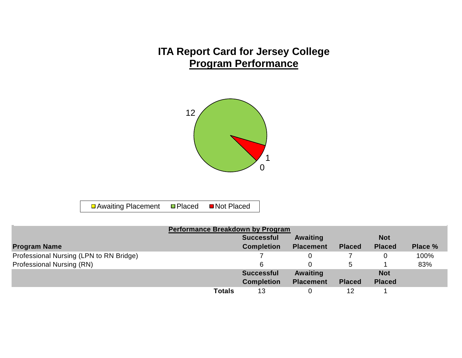## **ITA Report Card for Jersey College Program Performance**



**□** Awaiting Placement **□ Placed** ■ Not Placed

| Performance Breakdown by Program        |               |                   |                  |               |               |         |  |
|-----------------------------------------|---------------|-------------------|------------------|---------------|---------------|---------|--|
|                                         |               | <b>Successful</b> | Awaiting         |               | <b>Not</b>    |         |  |
| <b>Program Name</b>                     |               | <b>Completion</b> | <b>Placement</b> | <b>Placed</b> | <b>Placed</b> | Place % |  |
| Professional Nursing (LPN to RN Bridge) |               |                   |                  |               |               | 100%    |  |
| Professional Nursing (RN)               |               | 6                 |                  | 5.            |               | 83%     |  |
|                                         |               | <b>Successful</b> | Awaiting         |               | <b>Not</b>    |         |  |
|                                         |               | <b>Completion</b> | <b>Placement</b> | <b>Placed</b> | <b>Placed</b> |         |  |
|                                         | <b>Totals</b> | 13                |                  | 12            |               |         |  |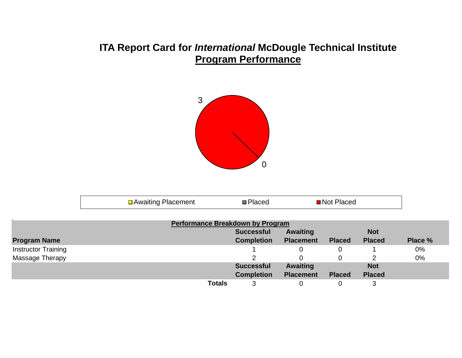#### **ITA Report Card for** *International* **McDougle Technical Institute Program Performance**



| الممموم والطامونية ويبدر<br>AWAITING PIACAMANT | ¶Not Placed |  |
|------------------------------------------------|-------------|--|
|                                                |             |  |

| <b>Performance Breakdown by Program</b> |               |                   |                  |               |               |         |  |  |
|-----------------------------------------|---------------|-------------------|------------------|---------------|---------------|---------|--|--|
|                                         |               | <b>Successful</b> | <b>Awaiting</b>  |               | <b>Not</b>    |         |  |  |
| <b>Program Name</b>                     |               | <b>Completion</b> | <b>Placement</b> | <b>Placed</b> | <b>Placed</b> | Place % |  |  |
| <b>Instructor Training</b>              |               |                   |                  |               |               | 0%      |  |  |
| Massage Therapy                         |               |                   |                  |               |               | 0%      |  |  |
|                                         |               | <b>Successful</b> | <b>Awaiting</b>  |               | <b>Not</b>    |         |  |  |
|                                         |               | <b>Completion</b> | <b>Placement</b> | <b>Placed</b> | <b>Placed</b> |         |  |  |
|                                         | <b>Totals</b> | 3                 |                  |               |               |         |  |  |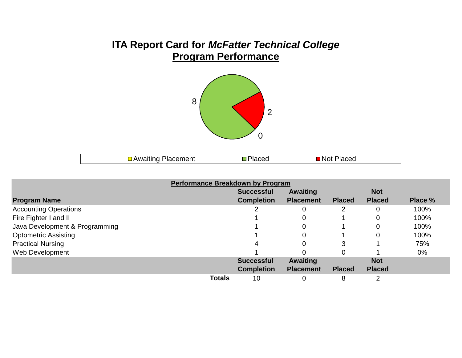## **ITA Report Card for** *McFatter Technical College* **Program Performance**



|--|

| <b>Performance Breakdown by Program</b> |               |                   |                  |               |                |         |  |  |
|-----------------------------------------|---------------|-------------------|------------------|---------------|----------------|---------|--|--|
|                                         |               | <b>Successful</b> | <b>Awaiting</b>  |               | <b>Not</b>     |         |  |  |
| <b>Program Name</b>                     |               | <b>Completion</b> | <b>Placement</b> | <b>Placed</b> | <b>Placed</b>  | Place % |  |  |
| <b>Accounting Operations</b>            |               |                   | 0                |               | 0              | 100%    |  |  |
| Fire Fighter I and II                   |               |                   | 0                |               | $\overline{0}$ | 100%    |  |  |
| Java Development & Programming          |               |                   | 0                |               | 0              | 100%    |  |  |
| <b>Optometric Assisting</b>             |               |                   | 0                |               | $\overline{0}$ | 100%    |  |  |
| <b>Practical Nursing</b>                |               |                   | 0                | 3             |                | 75%     |  |  |
| Web Development                         |               |                   |                  |               |                | $0\%$   |  |  |
|                                         |               | <b>Successful</b> | <b>Awaiting</b>  |               | <b>Not</b>     |         |  |  |
|                                         |               | <b>Completion</b> | <b>Placement</b> | <b>Placed</b> | <b>Placed</b>  |         |  |  |
|                                         | <b>Totals</b> | 10                | 0                | 8             |                |         |  |  |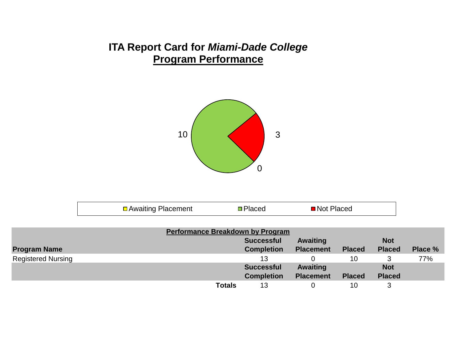## **ITA Report Card for** *Miami-Dade College* **Program Performance**



| □ Awaiting Placement | <b>□</b> Placed | ■Not Placed |  |
|----------------------|-----------------|-------------|--|
|                      |                 |             |  |

|                           | <b>Performance Breakdown by Program</b> |                   |                  |               |               |         |
|---------------------------|-----------------------------------------|-------------------|------------------|---------------|---------------|---------|
|                           |                                         | <b>Successful</b> | Awaiting         |               | <b>Not</b>    |         |
| <b>Program Name</b>       |                                         | <b>Completion</b> | <b>Placement</b> | <b>Placed</b> | <b>Placed</b> | Place % |
| <b>Registered Nursing</b> |                                         | 13                |                  | 10            |               | 77%     |
|                           |                                         | <b>Successful</b> | Awaiting         |               | <b>Not</b>    |         |
|                           |                                         | <b>Completion</b> | <b>Placement</b> | <b>Placed</b> | <b>Placed</b> |         |
|                           | <b>Totals</b>                           | 13                |                  | 10            |               |         |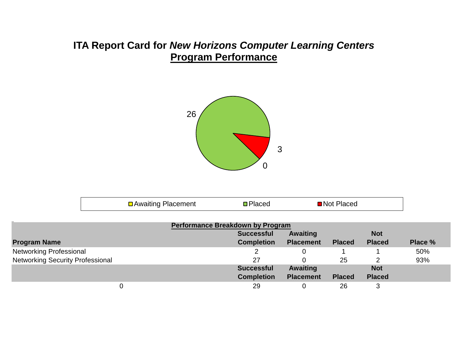## **ITA Report Card for** *New Horizons Computer Learning Centers* **Program Performance**



| □ Awaiting Placement<br>■Not Placed<br>Placed |  |
|-----------------------------------------------|--|
|-----------------------------------------------|--|

| <b>Performance Breakdown by Program</b> |                   |                  |               |               |         |  |  |  |
|-----------------------------------------|-------------------|------------------|---------------|---------------|---------|--|--|--|
|                                         | <b>Successful</b> | <b>Awaiting</b>  |               | <b>Not</b>    |         |  |  |  |
| <b>Program Name</b>                     | <b>Completion</b> | <b>Placement</b> | <b>Placed</b> | <b>Placed</b> | Place % |  |  |  |
| <b>Networking Professional</b>          |                   |                  |               |               | 50%     |  |  |  |
| <b>Networking Security Professional</b> | 27                |                  | 25            |               | 93%     |  |  |  |
|                                         | <b>Successful</b> | Awaiting         |               | <b>Not</b>    |         |  |  |  |
|                                         | <b>Completion</b> | <b>Placement</b> | <b>Placed</b> | <b>Placed</b> |         |  |  |  |
|                                         | 29                |                  | 26            | 3             |         |  |  |  |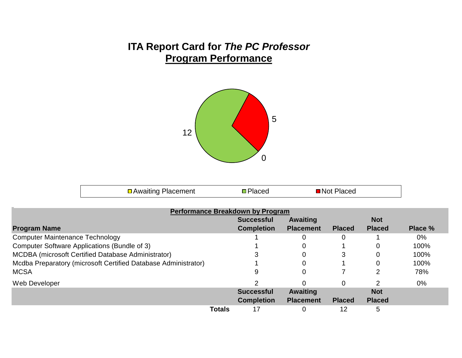## **ITA Report Card for** *The PC Professor* **Program Performance**



| □ Awaiting Placement | <b>□</b> Placed | ■ Not Placed |  |
|----------------------|-----------------|--------------|--|
|----------------------|-----------------|--------------|--|

|                                                                | <b>Performance Breakdown by Program</b> |                  |               |               |         |
|----------------------------------------------------------------|-----------------------------------------|------------------|---------------|---------------|---------|
|                                                                | <b>Successful</b>                       | <b>Awaiting</b>  |               | <b>Not</b>    |         |
| <b>Program Name</b>                                            | <b>Completion</b>                       | <b>Placement</b> | <b>Placed</b> | <b>Placed</b> | Place % |
| <b>Computer Maintenance Technology</b>                         |                                         | 0                |               |               | $0\%$   |
| Computer Software Applications (Bundle of 3)                   |                                         | 0                |               |               | 100%    |
| <b>MCDBA</b> (microsoft Certified Database Administrator)      |                                         | 0                | 3             |               | 100%    |
| Mcdba Preparatory (microsoft Certified Database Administrator) |                                         | 0                |               |               | 100%    |
| <b>MCSA</b>                                                    | 9                                       | 0                |               |               | 78%     |
| Web Developer                                                  |                                         | 0                | 0             |               | $0\%$   |
|                                                                | <b>Successful</b>                       | <b>Awaiting</b>  |               | <b>Not</b>    |         |
|                                                                | <b>Completion</b>                       | <b>Placement</b> | <b>Placed</b> | <b>Placed</b> |         |
|                                                                | <b>Totals</b><br>17                     | 0                | 12            | 5             |         |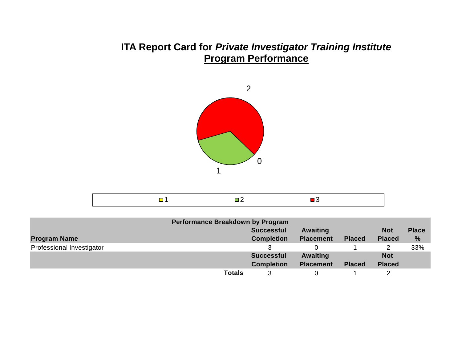#### **ITA Report Card for** *Private Investigator Training Institute* **Program Performance**



|--|--|--|

| <b>Performance Breakdown by Program</b> |                   |                  |               |               |               |
|-----------------------------------------|-------------------|------------------|---------------|---------------|---------------|
|                                         | <b>Successful</b> | Awaiting         |               | <b>Not</b>    | <b>Place</b>  |
| <b>Program Name</b>                     | <b>Completion</b> | <b>Placement</b> | <b>Placed</b> | <b>Placed</b> | $\frac{9}{6}$ |
| Professional Investigator               |                   |                  |               |               | 33%           |
|                                         | <b>Successful</b> | Awaiting         |               | <b>Not</b>    |               |
|                                         | <b>Completion</b> | <b>Placement</b> | <b>Placed</b> | <b>Placed</b> |               |
|                                         | <b>Totals</b>     |                  |               |               |               |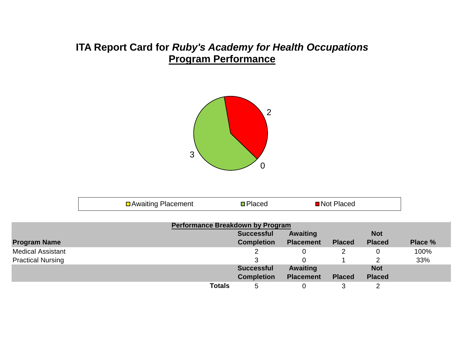## **ITA Report Card for** *Ruby's Academy for Health Occupations* **Program Performance**



| □ Awaiting Placement<br>Placed<br>∎N∩t l<br>Placeo |
|----------------------------------------------------|
|----------------------------------------------------|

|                          |               | <b>Performance Breakdown by Program</b> |                  |               |               |         |
|--------------------------|---------------|-----------------------------------------|------------------|---------------|---------------|---------|
|                          |               | <b>Successful</b>                       | <b>Awaiting</b>  |               | <b>Not</b>    |         |
| <b>Program Name</b>      |               | <b>Completion</b>                       | <b>Placement</b> | <b>Placed</b> | <b>Placed</b> | Place % |
| <b>Medical Assistant</b> |               |                                         |                  |               | 0             | 100%    |
| <b>Practical Nursing</b> |               |                                         |                  |               |               | 33%     |
|                          |               | <b>Successful</b>                       | Awaiting         |               | <b>Not</b>    |         |
|                          |               | <b>Completion</b>                       | <b>Placement</b> | <b>Placed</b> | <b>Placed</b> |         |
|                          | <b>Totals</b> | 5                                       | 0                |               | າ             |         |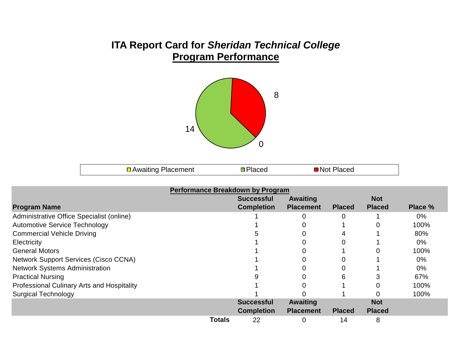#### **ITA Report Card for** *Sheridan Technical College* **Program Performance**



| <b>□ Awaiting Placement</b> | <b></b> Placed | ■ Not Placed |  |
|-----------------------------|----------------|--------------|--|
|-----------------------------|----------------|--------------|--|

|                                                   | Performance Breakdown by Program |                   |                  |               |               |         |
|---------------------------------------------------|----------------------------------|-------------------|------------------|---------------|---------------|---------|
|                                                   |                                  | <b>Successful</b> | <b>Awaiting</b>  |               | <b>Not</b>    |         |
| <b>Program Name</b>                               |                                  | <b>Completion</b> | <b>Placement</b> | <b>Placed</b> | <b>Placed</b> | Place % |
| Administrative Office Specialist (online)         |                                  |                   |                  | 0             |               | $0\%$   |
| <b>Automotive Service Technology</b>              |                                  |                   |                  |               | 0             | 100%    |
| <b>Commercial Vehicle Driving</b>                 |                                  |                   |                  | 4             |               | 80%     |
| Electricity                                       |                                  |                   |                  | 0             |               | 0%      |
| <b>General Motors</b>                             |                                  |                   |                  |               |               | 100%    |
| <b>Network Support Services (Cisco CCNA)</b>      |                                  |                   |                  | 0             |               | $0\%$   |
| <b>Network Systems Administration</b>             |                                  |                   |                  |               |               | $0\%$   |
| <b>Practical Nursing</b>                          |                                  |                   |                  | 6             | 3             | 67%     |
| <b>Professional Culinary Arts and Hospitality</b> |                                  |                   |                  |               | O             | 100%    |
| <b>Surgical Technology</b>                        |                                  |                   |                  |               |               | 100%    |
|                                                   |                                  | <b>Successful</b> | <b>Awaiting</b>  |               | <b>Not</b>    |         |
|                                                   |                                  | <b>Completion</b> | <b>Placement</b> | <b>Placed</b> | <b>Placed</b> |         |
|                                                   | Totals                           | 22                | 0                | 14            | 8             |         |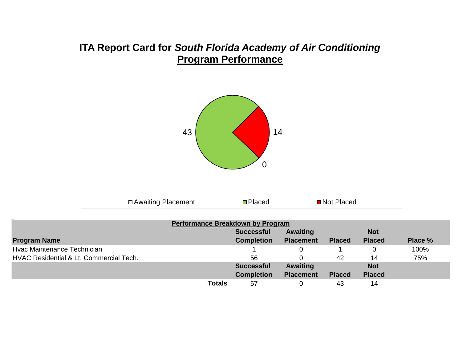#### **ITA Report Card for** *South Florida Academy of Air Conditioning* **Program Performance**



| □ Awaiting Placement<br>■Not Placed<br><b>Placed</b> |  |
|------------------------------------------------------|--|
|------------------------------------------------------|--|

|                                                    |               | <b>Performance Breakdown by Program</b> |                  |               |               |         |
|----------------------------------------------------|---------------|-----------------------------------------|------------------|---------------|---------------|---------|
|                                                    |               | <b>Successful</b>                       | <b>Awaiting</b>  |               | <b>Not</b>    |         |
| <b>Program Name</b>                                |               | <b>Completion</b>                       | <b>Placement</b> | <b>Placed</b> | <b>Placed</b> | Place % |
| Hvac Maintenance Technician                        |               |                                         |                  |               |               | 100%    |
| <b>HVAC Residential &amp; Lt. Commercial Tech.</b> |               | 56                                      |                  | 42            | 14            | 75%     |
|                                                    |               | <b>Successful</b>                       | <b>Awaiting</b>  |               | <b>Not</b>    |         |
|                                                    |               | <b>Completion</b>                       | <b>Placement</b> | <b>Placed</b> | <b>Placed</b> |         |
|                                                    | <b>Totals</b> | 57                                      |                  | 43            | 14            |         |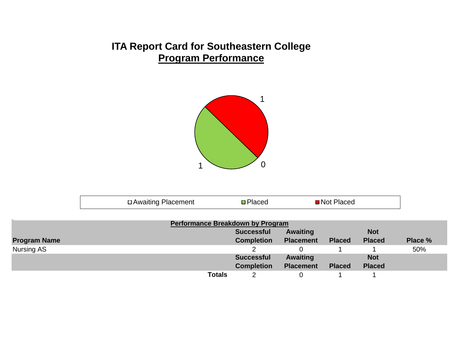#### **ITA Report Card for Southeastern College Program Performance**



| $    -$<br>Awalung Placement<br>— 9 | . | ≀Not<br>. :⊷<br>. |  |
|-------------------------------------|---|-------------------|--|
|                                     |   |                   |  |

|                     | <b>Performance Breakdown by Program</b> |                   |                  |               |               |         |
|---------------------|-----------------------------------------|-------------------|------------------|---------------|---------------|---------|
|                     |                                         | <b>Successful</b> | Awaiting         |               | <b>Not</b>    |         |
| <b>Program Name</b> |                                         | <b>Completion</b> | <b>Placement</b> | <b>Placed</b> | <b>Placed</b> | Place % |
| Nursing AS          |                                         |                   |                  |               |               | 50%     |
|                     |                                         | <b>Successful</b> | Awaiting         |               | <b>Not</b>    |         |
|                     |                                         | <b>Completion</b> | <b>Placement</b> | <b>Placed</b> | <b>Placed</b> |         |
|                     | <b>Totals</b>                           |                   |                  |               |               |         |